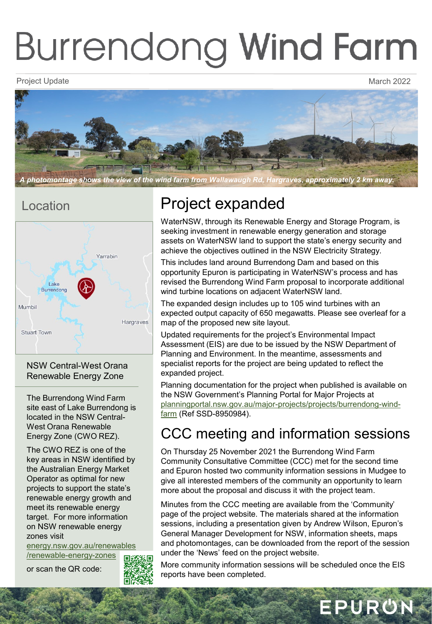# **Burrendong Wind Farm**

Project Update March 2022 - And the March 2022 - And the March 2022 - March 2022



*A photomontage shows the view of the wind farm from Wallawaugh Rd, Hargraves, approximately 2 km away.* 

### Location



NSW Central-West Orana Renewable Energy Zone

The Burrendong Wind Farm site east of Lake Burrendong is located in the NSW Central-West Orana Renewable Energy Zone (CWO REZ).

The CWO REZ is one of the key areas in NSW identified by the Australian Energy Market Operator as optimal for new projects to support the state's renewable energy growth and meet its renewable energy target. For more information on NSW renewable energy zones visit

[energy.nsw.gov.au/renewables](https://energy.nsw.gov.au/renewables/renewable-energy-zones) /renewable-energy-zones

or scan the QR code:



# Project expanded

WaterNSW, through its Renewable Energy and Storage Program, is seeking investment in renewable energy generation and storage assets on WaterNSW land to support the state's energy security and achieve the objectives outlined in the NSW Electricity Strategy.

This includes land around Burrendong Dam and based on this opportunity Epuron is participating in WaterNSW's process and has revised the Burrendong Wind Farm proposal to incorporate additional wind turbine locations on adjacent WaterNSW land.

The expanded design includes up to 105 wind turbines with an expected output capacity of 650 megawatts. Please see overleaf for a map of the proposed new site layout.

Updated requirements for the project's Environmental Impact Assessment (EIS) are due to be issued by the NSW Department of Planning and Environment. In the meantime, assessments and specialist reports for the project are being updated to reflect the expanded project.

Planning documentation for the project when published is available on the NSW Government's Planning Portal for Major Projects at [planningportal.nsw.gov.au/major-projects/projects/burrendong-wind](https://www.planningportal.nsw.gov.au/major-projects/projects/burrendong-wind-farm)farm (Ref SSD-8950984).

## CCC meeting and information sessions

On Thursday 25 November 2021 the Burrendong Wind Farm Community Consultative Committee (CCC) met for the second time and Epuron hosted two community information sessions in Mudgee to give all interested members of the community an opportunity to learn more about the proposal and discuss it with the project team.

Minutes from the CCC meeting are available from the 'Community' page of the project website. The materials shared at the information sessions, including a presentation given by Andrew Wilson, Epuron's General Manager Development for NSW, information sheets, maps and photomontages, can be downloaded from the report of the session under the 'News' feed on the project website.

More community information sessions will be scheduled once the EIS reports have been completed.

EPURON